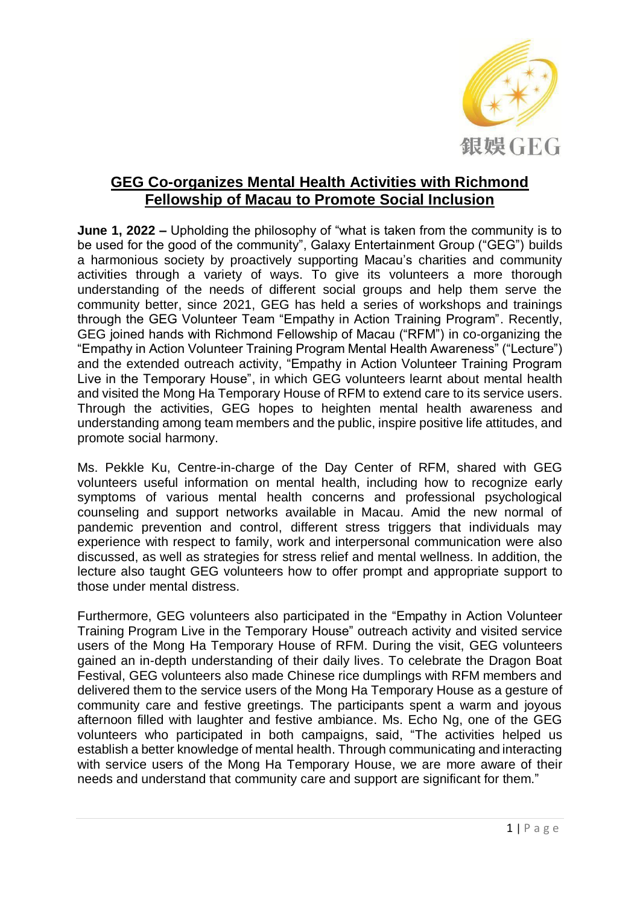

## **GEG Co-organizes Mental Health Activities with Richmond Fellowship of Macau to Promote Social Inclusion**

**June 1, 2022 –** Upholding the philosophy of "what is taken from the community is to be used for the good of the community", Galaxy Entertainment Group ("GEG") builds a harmonious society by proactively supporting Macau's charities and community activities through a variety of ways. To give its volunteers a more thorough understanding of the needs of different social groups and help them serve the community better, since 2021, GEG has held a series of workshops and trainings through the GEG Volunteer Team "Empathy in Action Training Program". Recently, GEG joined hands with Richmond Fellowship of Macau ("RFM") in co-organizing the "Empathy in Action Volunteer Training Program Mental Health Awareness" ("Lecture") and the extended outreach activity, "Empathy in Action Volunteer Training Program Live in the Temporary House", in which GEG volunteers learnt about mental health and visited the Mong Ha Temporary House of RFM to extend care to its service users. Through the activities, GEG hopes to heighten mental health awareness and understanding among team members and the public, inspire positive life attitudes, and promote social harmony.

Ms. Pekkle Ku, Centre-in-charge of the Day Center of RFM, shared with GEG volunteers useful information on mental health, including how to recognize early symptoms of various mental health concerns and professional psychological counseling and support networks available in Macau. Amid the new normal of pandemic prevention and control, different stress triggers that individuals may experience with respect to family, work and interpersonal communication were also discussed, as well as strategies for stress relief and mental wellness. In addition, the lecture also taught GEG volunteers how to offer prompt and appropriate support to those under mental distress.

Furthermore, GEG volunteers also participated in the "Empathy in Action Volunteer Training Program Live in the Temporary House" outreach activity and visited service users of the Mong Ha Temporary House of RFM. During the visit, GEG volunteers gained an in-depth understanding of their daily lives. To celebrate the Dragon Boat Festival, GEG volunteers also made Chinese rice dumplings with RFM members and delivered them to the service users of the Mong Ha Temporary House as a gesture of community care and festive greetings. The participants spent a warm and joyous afternoon filled with laughter and festive ambiance. Ms. Echo Ng, one of the GEG volunteers who participated in both campaigns, said, "The activities helped us establish a better knowledge of mental health. Through communicating and interacting with service users of the Mong Ha Temporary House, we are more aware of their needs and understand that community care and support are significant for them."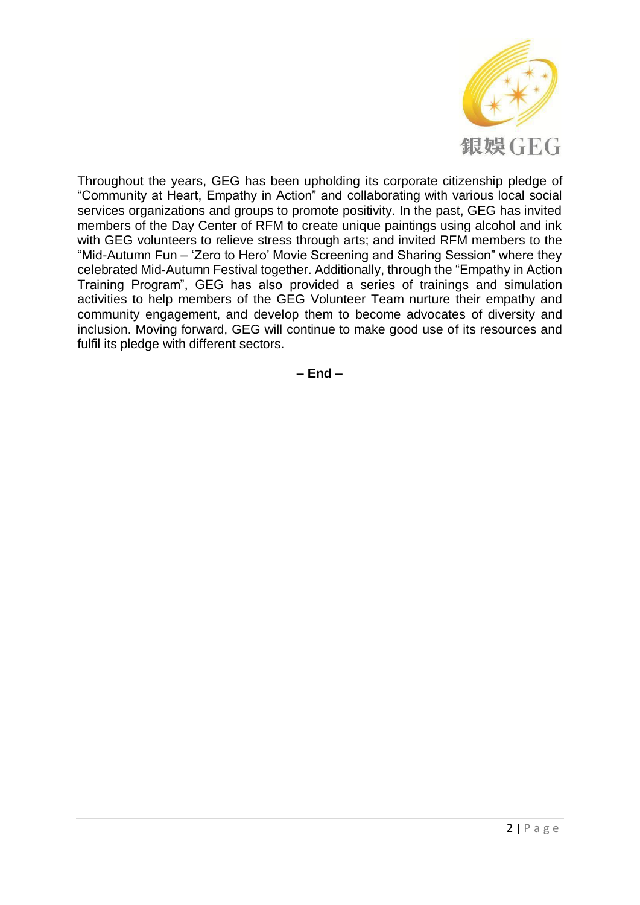

Throughout the years, GEG has been upholding its corporate citizenship pledge of "Community at Heart, Empathy in Action" and collaborating with various local social services organizations and groups to promote positivity. In the past, GEG has invited members of the Day Center of RFM to create unique paintings using alcohol and ink with GEG volunteers to relieve stress through arts; and invited RFM members to the "Mid-Autumn Fun – 'Zero to Hero' Movie Screening and Sharing Session" where they celebrated Mid-Autumn Festival together. Additionally, through the "Empathy in Action Training Program", GEG has also provided a series of trainings and simulation activities to help members of the GEG Volunteer Team nurture their empathy and community engagement, and develop them to become advocates of diversity and inclusion. Moving forward, GEG will continue to make good use of its resources and fulfil its pledge with different sectors.

**– End –**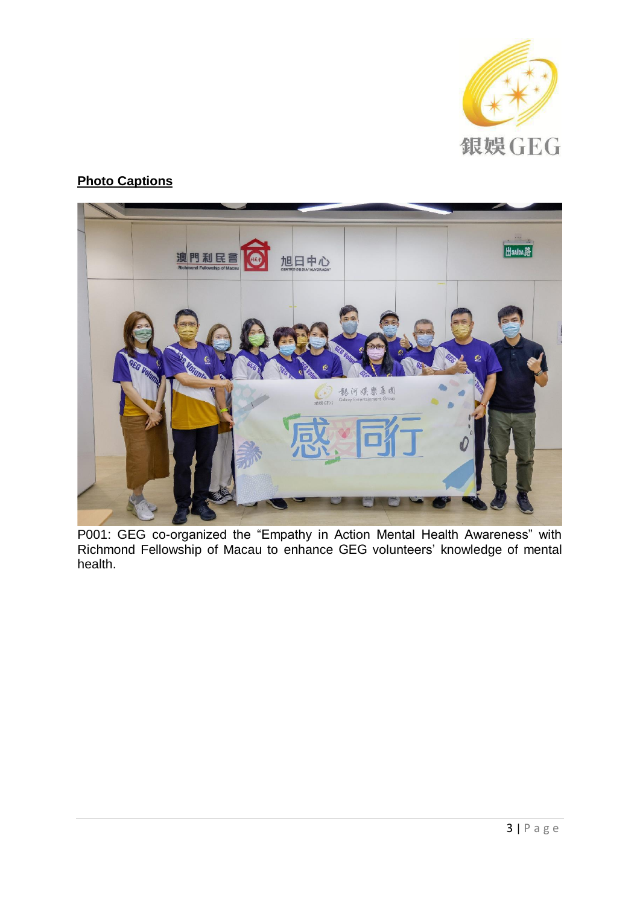

## **Photo Captions**



P001: GEG co-organized the "Empathy in Action Mental Health Awareness" with Richmond Fellowship of Macau to enhance GEG volunteers' knowledge of mental health.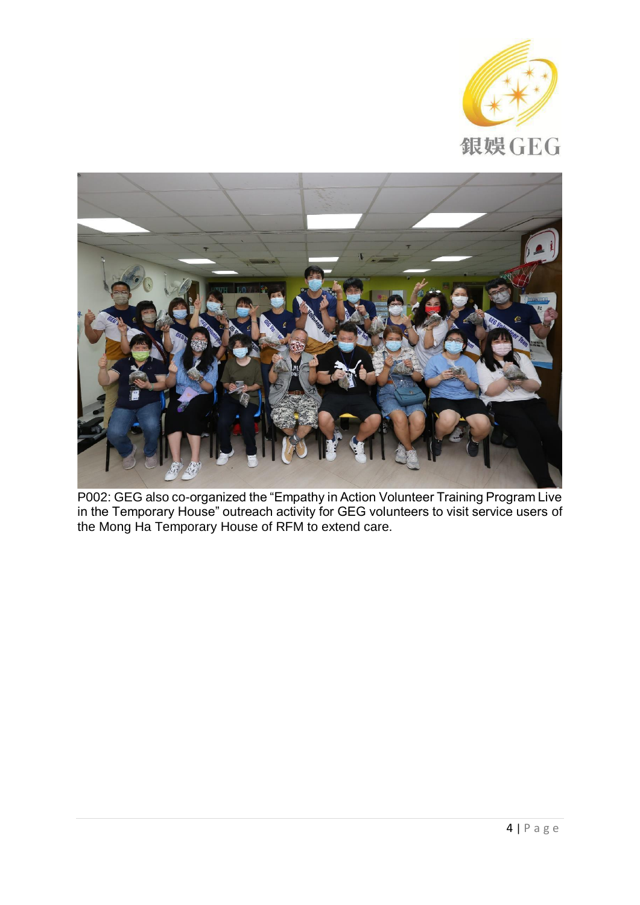



P002: GEG also co-organized the "Empathy in Action Volunteer Training Program Live in the Temporary House" outreach activity for GEG volunteers to visit service users of the Mong Ha Temporary House of RFM to extend care.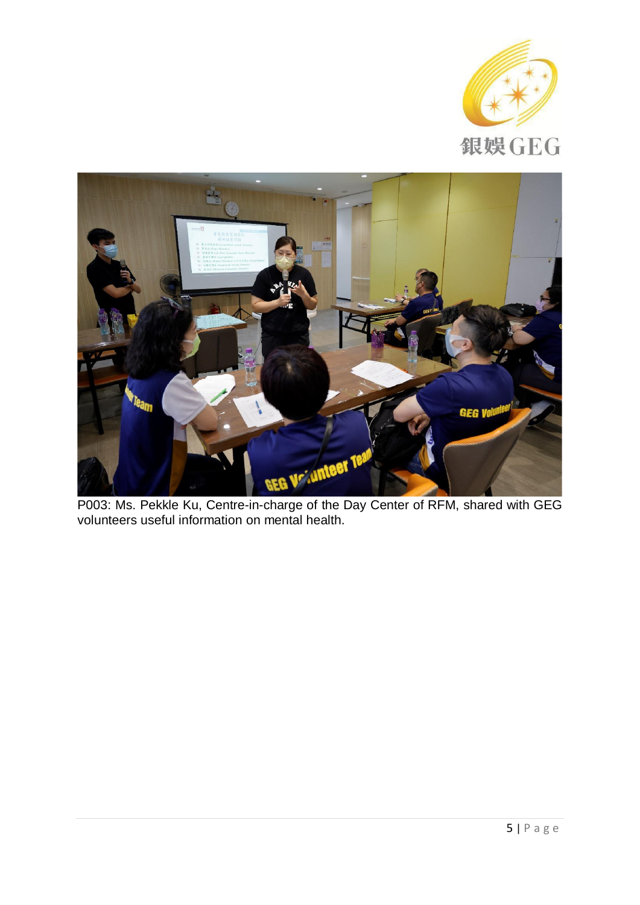



P003: Ms. Pekkle Ku, Centre-in-charge of the Day Center of RFM, shared with GEG volunteers useful information on mental health.